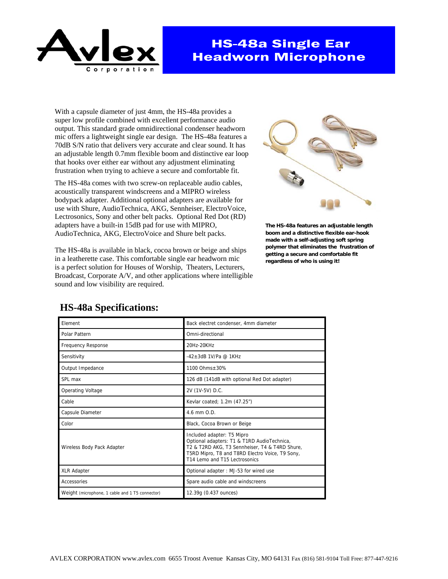

# **HS-48a Single Ear Headworn Microphone**

With a capsule diameter of just 4mm, the HS-48a provides a super low profile combined with excellent performance audio output. This standard grade omnidirectional condenser headworn mic offers a lightweight single ear design. The HS-48a features a 70dB S/N ratio that delivers very accurate and clear sound. It has an adjustable length 0.7mm flexible boom and distinctive ear loop that hooks over either ear without any adjustment eliminating frustration when trying to achieve a secure and comfortable fit.

The HS-48a comes with two screw-on replaceable audio cables, acoustically transparent windscreens and a MIPRO wireless bodypack adapter. Additional optional adapters are available for use with Shure, AudioTechnica, AKG, Sennheiser, ElectroVoice, Lectrosonics, Sony and other belt packs. Optional Red Dot (RD) adapters have a built-in 15dB pad for use with MIPRO, AudioTechnica, AKG, ElectroVoice and Shure belt packs.

The HS-48a is available in black, cocoa brown or beige and ships in a leatherette case. This comfortable single ear headworn mic is a perfect solution for Houses of Worship, Theaters, Lecturers, Broadcast, Corporate A/V, and other applications where intelligible sound and low visibility are required.



**The HS-48a features an adjustable length boom and a distinctive flexible ear-hook made with a self-adjusting soft spring polymer that eliminates the frustration of getting a secure and comfortable fit regardless of who is using it!** 

| Element                                         | Back electret condenser, 4mm diameter                                                                                                                                                                           |
|-------------------------------------------------|-----------------------------------------------------------------------------------------------------------------------------------------------------------------------------------------------------------------|
| Polar Pattern                                   | Omni-directional                                                                                                                                                                                                |
| <b>Frequency Response</b>                       | 20Hz-20KHz                                                                                                                                                                                                      |
| Sensitivity                                     | $-42+3$ dB 1V/Pa @ 1KHz                                                                                                                                                                                         |
| Output Impedance                                | 1100 Ohms + 30%                                                                                                                                                                                                 |
| SPL max                                         | 126 dB (141dB with optional Red Dot adapter)                                                                                                                                                                    |
| <b>Operating Voltage</b>                        | 2V (1V-5V) D.C.                                                                                                                                                                                                 |
| Cable                                           | Kevlar coated; 1.2m (47.25")                                                                                                                                                                                    |
| Capsule Diameter                                | $4.6$ mm $0.D.$                                                                                                                                                                                                 |
| Color                                           | Black, Cocoa Brown or Beige                                                                                                                                                                                     |
| Wireless Body Pack Adapter                      | Included adapter: T5 Mipro<br>Optional adapters: T1 & T1RD AudioTechnica,<br>T2 & T2RD AKG, T3 Sennheiser, T4 & T4RD Shure,<br>T5RD Mipro, T8 and T8RD Electro Voice, T9 Sony,<br>T14 Lemo and T15 Lectrosonics |
| <b>XLR Adapter</b>                              | Optional adapter: MJ-53 for wired use                                                                                                                                                                           |
| Accessories                                     | Spare audio cable and windscreens                                                                                                                                                                               |
| Weight (microphone, 1 cable and 1 T5 connector) | 12.39g (0.437 ounces)                                                                                                                                                                                           |

### **HS-48a Specifications:**